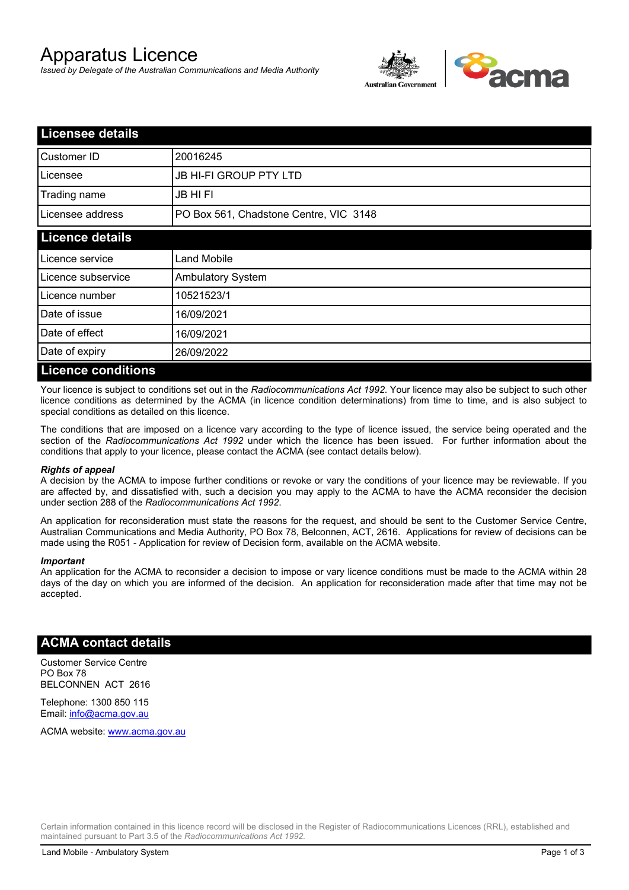# Apparatus Licence

*Issued by Delegate of the Australian Communications and Media Authority*



| <b>Licensee details</b>   |                                        |  |
|---------------------------|----------------------------------------|--|
| Customer ID               | 20016245                               |  |
| Licensee                  | <b>JB HI-FI GROUP PTY LTD</b>          |  |
| Trading name              | <b>JB HIFI</b>                         |  |
| Licensee address          | PO Box 561, Chadstone Centre, VIC 3148 |  |
| <b>Licence details</b>    |                                        |  |
| Licence service           | <b>Land Mobile</b>                     |  |
| Licence subservice        | Ambulatory System                      |  |
| Licence number            | 10521523/1                             |  |
| Date of issue             | 16/09/2021                             |  |
| Date of effect            | 16/09/2021                             |  |
| Date of expiry            | 26/09/2022                             |  |
| <b>Licence conditions</b> |                                        |  |

Your licence is subject to conditions set out in the *Radiocommunications Act 1992*. Your licence may also be subject to such other licence conditions as determined by the ACMA (in licence condition determinations) from time to time, and is also subject to special conditions as detailed on this licence.

The conditions that are imposed on a licence vary according to the type of licence issued, the service being operated and the section of the *Radiocommunications Act 1992* under which the licence has been issued. For further information about the conditions that apply to your licence, please contact the ACMA (see contact details below).

### *Rights of appeal*

A decision by the ACMA to impose further conditions or revoke or vary the conditions of your licence may be reviewable. If you are affected by, and dissatisfied with, such a decision you may apply to the ACMA to have the ACMA reconsider the decision under section 288 of the *Radiocommunications Act 1992*.

An application for reconsideration must state the reasons for the request, and should be sent to the Customer Service Centre, Australian Communications and Media Authority, PO Box 78, Belconnen, ACT, 2616. Applications for review of decisions can be made using the R051 - Application for review of Decision form, available on the ACMA website.

#### *Important*

An application for the ACMA to reconsider a decision to impose or vary licence conditions must be made to the ACMA within 28 days of the day on which you are informed of the decision. An application for reconsideration made after that time may not be accepted.

### **ACMA contact details**

Customer Service Centre PO Box 78 BELCONNEN ACT 2616

Telephone: 1300 850 115 Email: info@acma.gov.au

ACMA website: www.acma.gov.au

Certain information contained in this licence record will be disclosed in the Register of Radiocommunications Licences (RRL), established and maintained pursuant to Part 3.5 of the *Radiocommunications Act 1992.*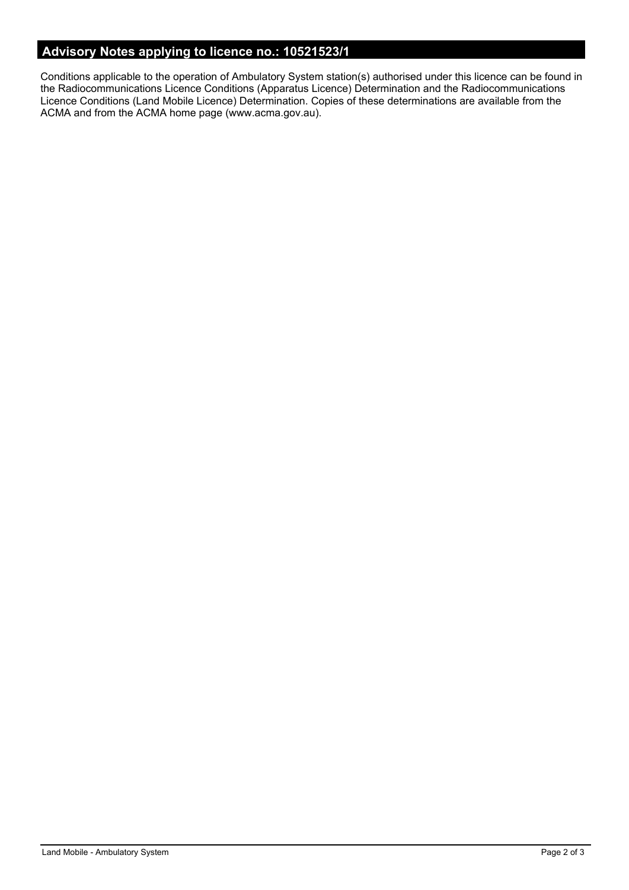# **Advisory Notes applying to licence no.: 10521523/1**

Conditions applicable to the operation of Ambulatory System station(s) authorised under this licence can be found in the Radiocommunications Licence Conditions (Apparatus Licence) Determination and the Radiocommunications Licence Conditions (Land Mobile Licence) Determination. Copies of these determinations are available from the ACMA and from the ACMA home page (www.acma.gov.au).